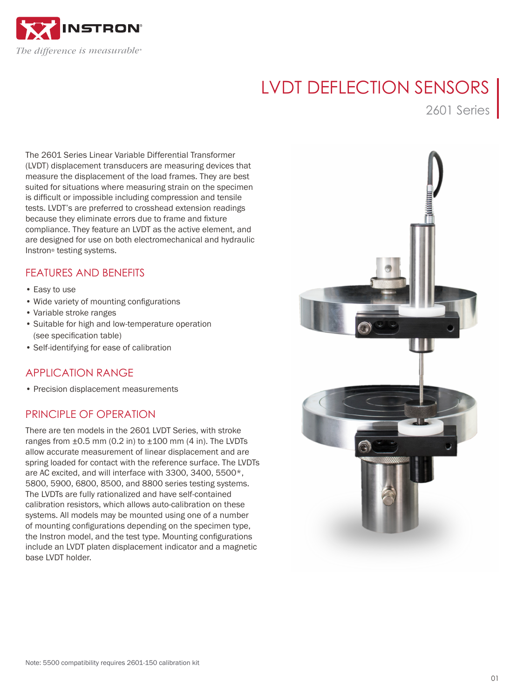

# LVDT DEFLECTION SENSORS

2601 Series

The 2601 Series Linear Variable Differential Transformer (LVDT) displacement transducers are measuring devices that measure the displacement of the load frames. They are best suited for situations where measuring strain on the specimen is difficult or impossible including compression and tensile tests. LVDT's are preferred to crosshead extension readings because they eliminate errors due to frame and fixture compliance. They feature an LVDT as the active element, and are designed for use on both electromechanical and hydraulic Instron® testing systems.

# FEATURES AND BENEFITS

- Easy to use
- Wide variety of mounting configurations
- Variable stroke ranges
- Suitable for high and low-temperature operation (see specification table)
- Self-identifying for ease of calibration

# APPLICATION RANGE

• Precision displacement measurements

# PRINCIPLE OF OPERATION

There are ten models in the 2601 LVDT Series, with stroke ranges from  $\pm 0.5$  mm (0.2 in) to  $\pm 100$  mm (4 in). The LVDTs allow accurate measurement of linear displacement and are spring loaded for contact with the reference surface. The LVDTs are AC excited, and will interface with 3300, 3400, 5500\*, 5800, 5900, 6800, 8500, and 8800 series testing systems. The LVDTs are fully rationalized and have self-contained calibration resistors, which allows auto-calibration on these systems. All models may be mounted using one of a number of mounting configurations depending on the specimen type, the Instron model, and the test type. Mounting configurations include an LVDT platen displacement indicator and a magnetic base LVDT holder.